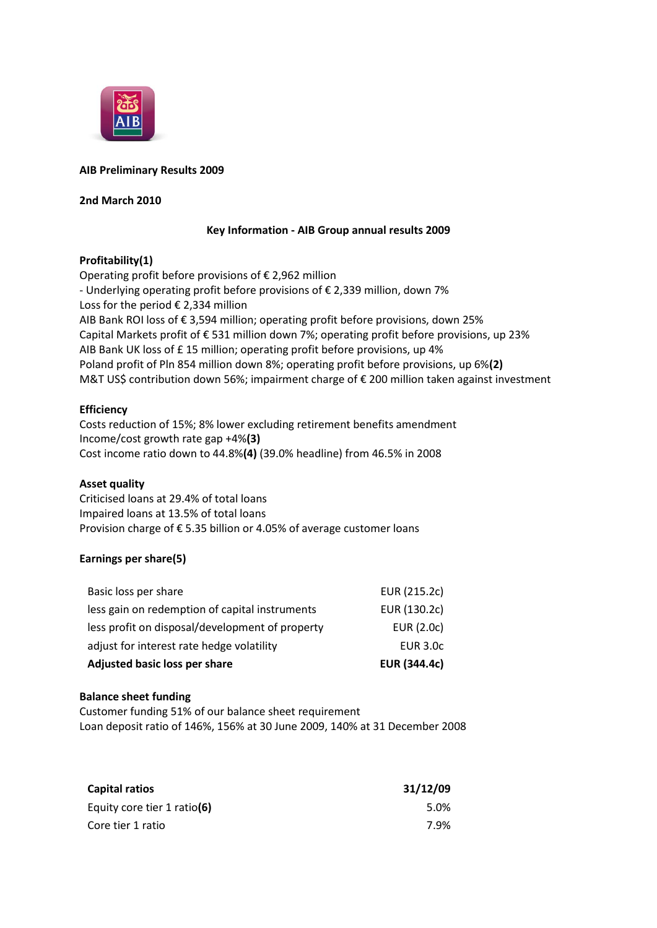

## **AIB Preliminary Results 2009**

### **2nd March 2010**

### **Key Information - AIB Group annual results 2009**

## **Profitability(1)**

Operating profit before provisions of  $\epsilon$  2,962 million - Underlying operating profit before provisions of € 2,339 million, down 7% Loss for the period  $€$  2,334 million AIB Bank ROI loss of € 3,594 million; operating profit before provisions, down 25% Capital Markets profit of € 531 million down 7%; operating profit before provisions, up 23% AIB Bank UK loss of £ 15 million; operating profit before provisions, up 4% Poland profit of Pln 854 million down 8%; operating profit before provisions, up 6%**(2)** M&T US\$ contribution down 56%; impairment charge of € 200 million taken against investment

## **Efficiency**

Costs reduction of 15%; 8% lower excluding retirement benefits amendment Income/cost growth rate gap +4%**(3)** Cost income ratio down to 44.8%**(4)** (39.0% headline) from 46.5% in 2008

### **Asset quality**

Criticised loans at 29.4% of total loans Impaired loans at 13.5% of total loans Provision charge of € 5.35 billion or 4.05% of average customer loans

# **Earnings per share(5)**

| Adjusted basic loss per share                   | <b>EUR (344.4c)</b> |
|-------------------------------------------------|---------------------|
| adjust for interest rate hedge volatility       | <b>EUR 3.0c</b>     |
| less profit on disposal/development of property | EUR (2.0c)          |
| less gain on redemption of capital instruments  | EUR (130.2c)        |
| Basic loss per share                            | EUR (215.2c)        |

### **Balance sheet funding**

Customer funding 51% of our balance sheet requirement Loan deposit ratio of 146%, 156% at 30 June 2009, 140% at 31 December 2008

| Capital ratios              | 31/12/09 |
|-----------------------------|----------|
| Equity core tier 1 ratio(6) | 5.0%     |
| Core tier 1 ratio           | 7.9%     |